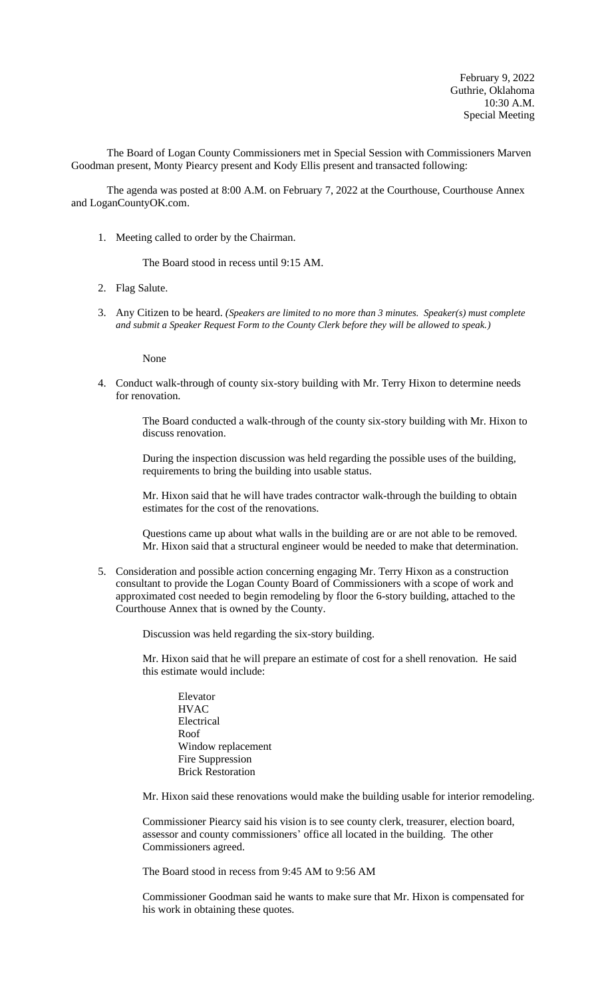The Board of Logan County Commissioners met in Special Session with Commissioners Marven Goodman present, Monty Piearcy present and Kody Ellis present and transacted following:

The agenda was posted at 8:00 A.M. on February 7, 2022 at the Courthouse, Courthouse Annex and LoganCountyOK.com.

1. Meeting called to order by the Chairman.

The Board stood in recess until 9:15 AM.

- 2. Flag Salute.
- 3. Any Citizen to be heard. *(Speakers are limited to no more than 3 minutes. Speaker(s) must complete and submit a Speaker Request Form to the County Clerk before they will be allowed to speak.)*

None

4. Conduct walk-through of county six-story building with Mr. Terry Hixon to determine needs for renovation.

> The Board conducted a walk-through of the county six-story building with Mr. Hixon to discuss renovation.

During the inspection discussion was held regarding the possible uses of the building, requirements to bring the building into usable status.

Mr. Hixon said that he will have trades contractor walk-through the building to obtain estimates for the cost of the renovations.

Questions came up about what walls in the building are or are not able to be removed. Mr. Hixon said that a structural engineer would be needed to make that determination.

5. Consideration and possible action concerning engaging Mr. Terry Hixon as a construction consultant to provide the Logan County Board of Commissioners with a scope of work and approximated cost needed to begin remodeling by floor the 6-story building, attached to the Courthouse Annex that is owned by the County.

Discussion was held regarding the six-story building.

Mr. Hixon said that he will prepare an estimate of cost for a shell renovation. He said this estimate would include:

Elevator **HVAC** Electrical Roof Window replacement Fire Suppression Brick Restoration

Mr. Hixon said these renovations would make the building usable for interior remodeling.

Commissioner Piearcy said his vision is to see county clerk, treasurer, election board, assessor and county commissioners' office all located in the building. The other Commissioners agreed.

The Board stood in recess from 9:45 AM to 9:56 AM

Commissioner Goodman said he wants to make sure that Mr. Hixon is compensated for his work in obtaining these quotes.